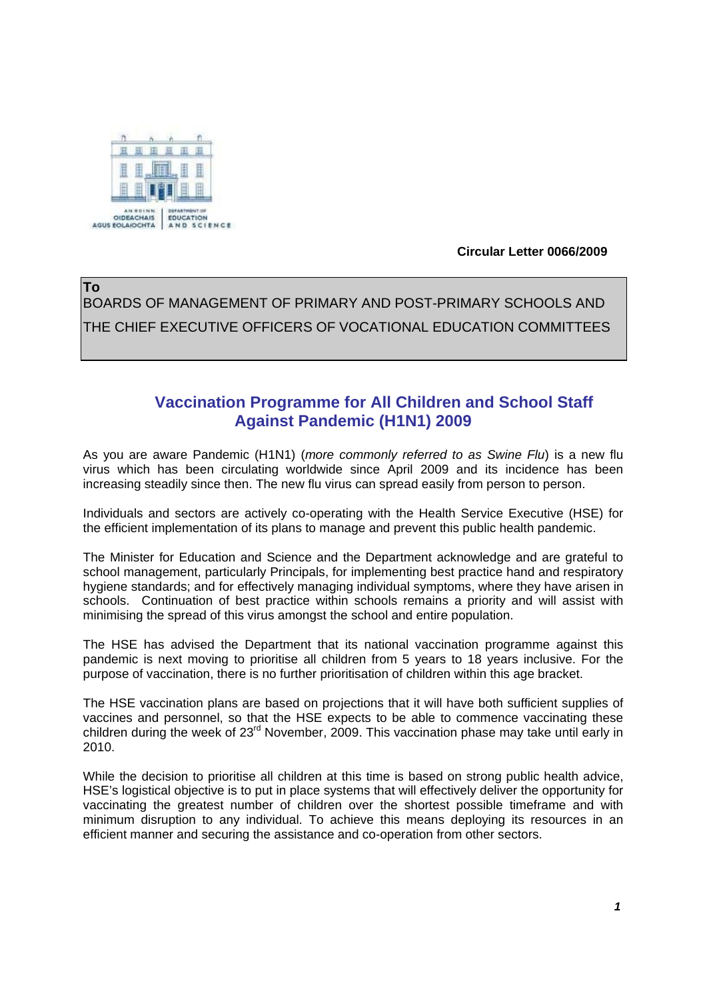

 **Circular Letter 0066/2009** 

**To** BOARDS OF MANAGEMENT OF PRIMARY AND POST-PRIMARY SCHOOLS AND THE CHIEF EXECUTIVE OFFICERS OF VOCATIONAL EDUCATION COMMITTEES

## **Vaccination Programme for All Children and School Staff Against Pandemic (H1N1) 2009**

As you are aware Pandemic (H1N1) (*more commonly referred to as Swine Flu*) is a new flu virus which has been circulating worldwide since April 2009 and its incidence has been increasing steadily since then. The new flu virus can spread easily from person to person.

Individuals and sectors are actively co-operating with the Health Service Executive (HSE) for the efficient implementation of its plans to manage and prevent this public health pandemic.

The Minister for Education and Science and the Department acknowledge and are grateful to school management, particularly Principals, for implementing best practice hand and respiratory hygiene standards; and for effectively managing individual symptoms, where they have arisen in schools. Continuation of best practice within schools remains a priority and will assist with minimising the spread of this virus amongst the school and entire population.

The HSE has advised the Department that its national vaccination programme against this pandemic is next moving to prioritise all children from 5 years to 18 years inclusive. For the purpose of vaccination, there is no further prioritisation of children within this age bracket.

The HSE vaccination plans are based on projections that it will have both sufficient supplies of vaccines and personnel, so that the HSE expects to be able to commence vaccinating these children during the week of 23<sup>rd</sup> November, 2009. This vaccination phase may take until early in 2010.

While the decision to prioritise all children at this time is based on strong public health advice, HSE's logistical objective is to put in place systems that will effectively deliver the opportunity for vaccinating the greatest number of children over the shortest possible timeframe and with minimum disruption to any individual. To achieve this means deploying its resources in an efficient manner and securing the assistance and co-operation from other sectors.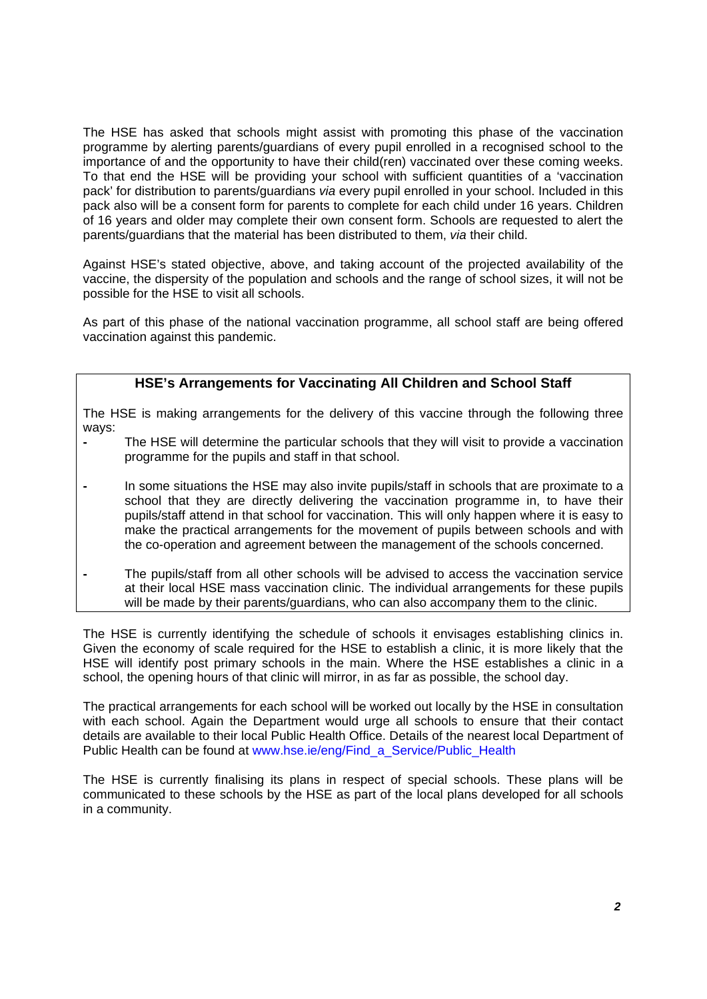The HSE has asked that schools might assist with promoting this phase of the vaccination programme by alerting parents/guardians of every pupil enrolled in a recognised school to the importance of and the opportunity to have their child(ren) vaccinated over these coming weeks. To that end the HSE will be providing your school with sufficient quantities of a 'vaccination pack' for distribution to parents/guardians *via* every pupil enrolled in your school. Included in this pack also will be a consent form for parents to complete for each child under 16 years. Children of 16 years and older may complete their own consent form. Schools are requested to alert the parents/guardians that the material has been distributed to them, *via* their child.

Against HSE's stated objective, above, and taking account of the projected availability of the vaccine, the dispersity of the population and schools and the range of school sizes, it will not be possible for the HSE to visit all schools.

As part of this phase of the national vaccination programme, all school staff are being offered vaccination against this pandemic.

## **HSE's Arrangements for Vaccinating All Children and School Staff**

The HSE is making arrangements for the delivery of this vaccine through the following three ways:

- **-** The HSE will determine the particular schools that they will visit to provide a vaccination programme for the pupils and staff in that school.
- **-** In some situations the HSE may also invite pupils/staff in schools that are proximate to a school that they are directly delivering the vaccination programme in, to have their pupils/staff attend in that school for vaccination. This will only happen where it is easy to make the practical arrangements for the movement of pupils between schools and with the co-operation and agreement between the management of the schools concerned.
- **-** The pupils/staff from all other schools will be advised to access the vaccination service at their local HSE mass vaccination clinic. The individual arrangements for these pupils will be made by their parents/guardians, who can also accompany them to the clinic.

The HSE is currently identifying the schedule of schools it envisages establishing clinics in. Given the economy of scale required for the HSE to establish a clinic, it is more likely that the HSE will identify post primary schools in the main. Where the HSE establishes a clinic in a school, the opening hours of that clinic will mirror, in as far as possible, the school day.

The practical arrangements for each school will be worked out locally by the HSE in consultation with each school. Again the Department would urge all schools to ensure that their contact details are available to their local Public Health Office. Details of the nearest local Department of Public Health can be found at www.hse.ie/eng/Find\_a\_Service/Public\_Health

The HSE is currently finalising its plans in respect of special schools. These plans will be communicated to these schools by the HSE as part of the local plans developed for all schools in a community.